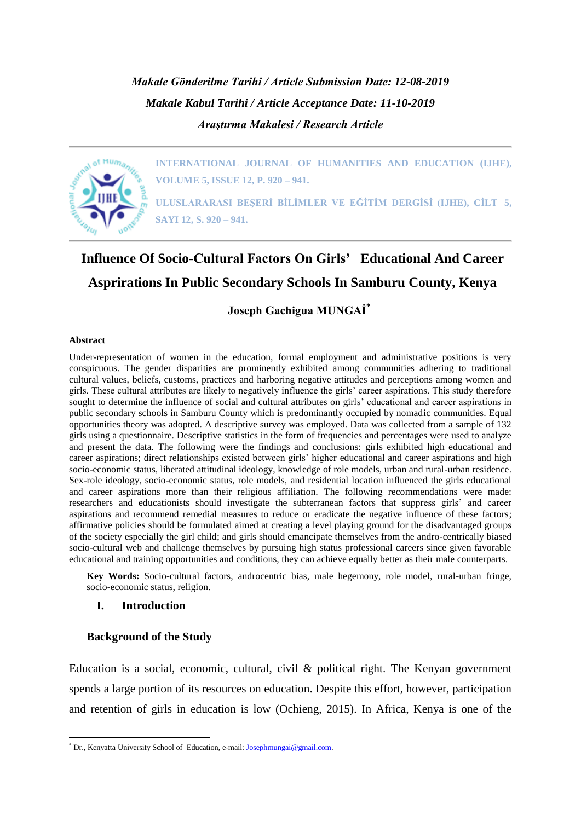*Makale Gönderilme Tarihi / Article Submission Date: 12-08-2019 Makale Kabul Tarihi / Article Acceptance Date: 11-10-2019 Araştırma Makalesi / Research Article*



**INTERNATIONAL JOURNAL OF HUMANITIES AND EDUCATION (IJHE), VOLUME 5, ISSUE 12, P. 920 – 941.**

**ULUSLARARASI BEŞERİ BİLİMLER VE EĞİTİM DERGİSİ (IJHE), CİLT 5, SAYI 12, S. 920 – 941.**

# **Influence Of Socio-Cultural Factors On Girls' Educational And Career Asprirations In Public Secondary Schools In Samburu County, Kenya**

**Joseph Gachigua MUNGAİ\***

#### **Abstract**

1

Under-representation of women in the education, formal employment and administrative positions is very conspicuous. The gender disparities are prominently exhibited among communities adhering to traditional cultural values, beliefs, customs, practices and harboring negative attitudes and perceptions among women and girls. These cultural attributes are likely to negatively influence the girls' career aspirations. This study therefore sought to determine the influence of social and cultural attributes on girls' educational and career aspirations in public secondary schools in Samburu County which is predominantly occupied by nomadic communities. Equal opportunities theory was adopted. A descriptive survey was employed. Data was collected from a sample of 132 girls using a questionnaire. Descriptive statistics in the form of frequencies and percentages were used to analyze and present the data. The following were the findings and conclusions: girls exhibited high educational and career aspirations; direct relationships existed between girls' higher educational and career aspirations and high socio-economic status, liberated attitudinal ideology, knowledge of role models, urban and rural-urban residence. Sex-role ideology, socio-economic status, role models, and residential location influenced the girls educational and career aspirations more than their religious affiliation. The following recommendations were made: researchers and educationists should investigate the subterranean factors that suppress girls' and career aspirations and recommend remedial measures to reduce or eradicate the negative influence of these factors; affirmative policies should be formulated aimed at creating a level playing ground for the disadvantaged groups of the society especially the girl child; and girls should emancipate themselves from the andro-centrically biased socio-cultural web and challenge themselves by pursuing high status professional careers since given favorable educational and training opportunities and conditions, they can achieve equally better as their male counterparts.

**Key Words:** Socio-cultural factors, androcentric bias, male hegemony, role model, rural-urban fringe, socio-economic status, religion.

#### **I. Introduction**

#### **Background of the Study**

Education is a social, economic, cultural, civil & political right. The Kenyan government spends a large portion of its resources on education. Despite this effort, however, participation and retention of girls in education is low (Ochieng, 2015). In Africa, Kenya is one of the

<sup>\*</sup> Dr., Kenyatta University School of Education, e-mail[: Josephmungai@gmail.com.](mailto:Josephmungai@gmail.com)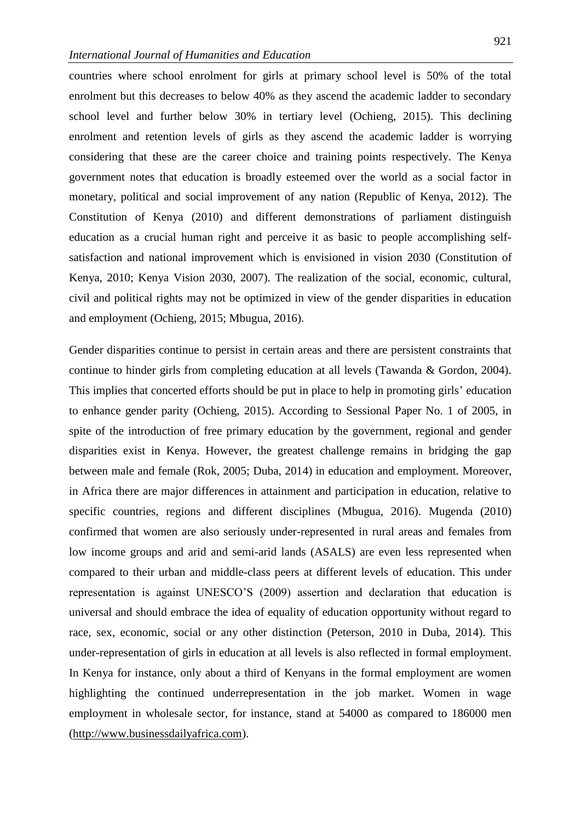countries where school enrolment for girls at primary school level is 50% of the total enrolment but this decreases to below 40% as they ascend the academic ladder to secondary school level and further below 30% in tertiary level (Ochieng, 2015). This declining enrolment and retention levels of girls as they ascend the academic ladder is worrying considering that these are the career choice and training points respectively. The Kenya government notes that education is broadly esteemed over the world as a social factor in monetary, political and social improvement of any nation (Republic of Kenya, 2012). The Constitution of Kenya (2010) and different demonstrations of parliament distinguish education as a crucial human right and perceive it as basic to people accomplishing selfsatisfaction and national improvement which is envisioned in vision 2030 (Constitution of Kenya, 2010; Kenya Vision 2030, 2007). The realization of the social, economic, cultural, civil and political rights may not be optimized in view of the gender disparities in education and employment (Ochieng, 2015; Mbugua, 2016).

Gender disparities continue to persist in certain areas and there are persistent constraints that continue to hinder girls from completing education at all levels (Tawanda & Gordon, 2004). This implies that concerted efforts should be put in place to help in promoting girls' education to enhance gender parity (Ochieng, 2015). According to Sessional Paper No. 1 of 2005, in spite of the introduction of free primary education by the government, regional and gender disparities exist in Kenya. However, the greatest challenge remains in bridging the gap between male and female (Rok, 2005; Duba, 2014) in education and employment. Moreover, in Africa there are major differences in attainment and participation in education, relative to specific countries, regions and different disciplines (Mbugua, 2016). Mugenda (2010) confirmed that women are also seriously under-represented in rural areas and females from low income groups and arid and semi-arid lands (ASALS) are even less represented when compared to their urban and middle-class peers at different levels of education. This under representation is against UNESCO'S (2009) assertion and declaration that education is universal and should embrace the idea of equality of education opportunity without regard to race, sex, economic, social or any other distinction (Peterson, 2010 in Duba, 2014). This under-representation of girls in education at all levels is also reflected in formal employment. In Kenya for instance, only about a third of Kenyans in the formal employment are women highlighting the continued underrepresentation in the job market. Women in wage employment in wholesale sector, for instance, stand at 54000 as compared to 186000 men [\(http://www.businessdailyafrica.com\)](http://www.businessdailyafrica.com/).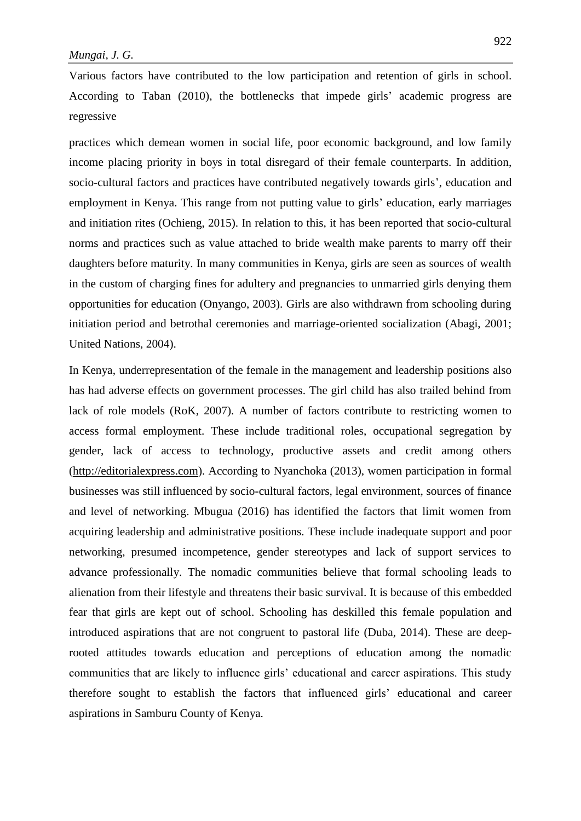Various factors have contributed to the low participation and retention of girls in school. According to Taban (2010), the bottlenecks that impede girls' academic progress are regressive

practices which demean women in social life, poor economic background, and low family income placing priority in boys in total disregard of their female counterparts. In addition, socio-cultural factors and practices have contributed negatively towards girls', education and employment in Kenya. This range from not putting value to girls' education, early marriages and initiation rites (Ochieng, 2015). In relation to this, it has been reported that socio-cultural norms and practices such as value attached to bride wealth make parents to marry off their daughters before maturity. In many communities in Kenya, girls are seen as sources of wealth in the custom of charging fines for adultery and pregnancies to unmarried girls denying them opportunities for education (Onyango, 2003). Girls are also withdrawn from schooling during initiation period and betrothal ceremonies and marriage-oriented socialization (Abagi, 2001; United Nations, 2004).

In Kenya, underrepresentation of the female in the management and leadership positions also has had adverse effects on government processes. The girl child has also trailed behind from lack of role models (RoK, 2007). A number of factors contribute to restricting women to access formal employment. These include traditional roles, occupational segregation by gender, lack of access to technology, productive assets and credit among others [\(http://editorialexpress.com\)](http://editorialexpress.com/). According to Nyanchoka (2013), women participation in formal businesses was still influenced by socio-cultural factors, legal environment, sources of finance and level of networking. Mbugua (2016) has identified the factors that limit women from acquiring leadership and administrative positions. These include inadequate support and poor networking, presumed incompetence, gender stereotypes and lack of support services to advance professionally. The nomadic communities believe that formal schooling leads to alienation from their lifestyle and threatens their basic survival. It is because of this embedded fear that girls are kept out of school. Schooling has deskilled this female population and introduced aspirations that are not congruent to pastoral life (Duba, 2014). These are deeprooted attitudes towards education and perceptions of education among the nomadic communities that are likely to influence girls' educational and career aspirations. This study therefore sought to establish the factors that influenced girls' educational and career aspirations in Samburu County of Kenya.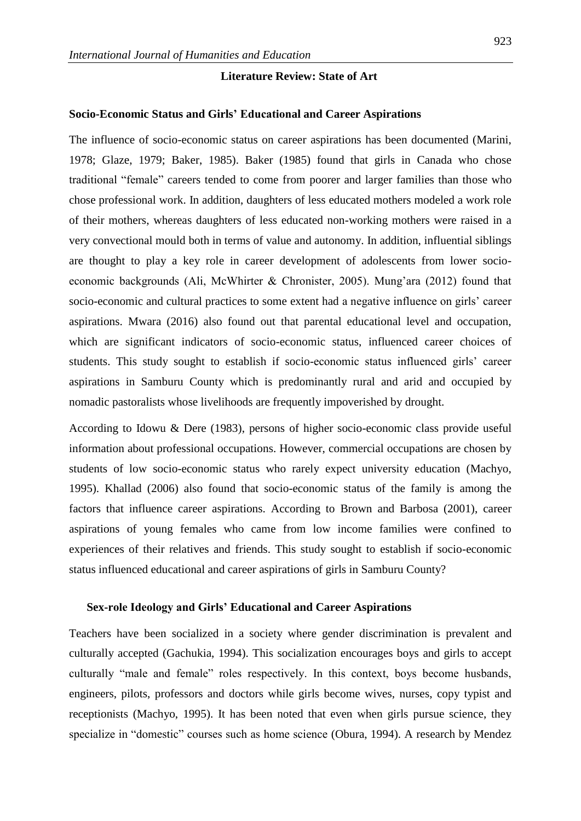# **Literature Review: State of Art**

#### **Socio-Economic Status and Girls' Educational and Career Aspirations**

The influence of socio-economic status on career aspirations has been documented (Marini, 1978; Glaze, 1979; Baker, 1985). Baker (1985) found that girls in Canada who chose traditional "female" careers tended to come from poorer and larger families than those who chose professional work. In addition, daughters of less educated mothers modeled a work role of their mothers, whereas daughters of less educated non-working mothers were raised in a very convectional mould both in terms of value and autonomy. In addition, influential siblings are thought to play a key role in career development of adolescents from lower socioeconomic backgrounds (Ali, McWhirter & Chronister, 2005). Mung'ara (2012) found that socio-economic and cultural practices to some extent had a negative influence on girls' career aspirations. Mwara (2016) also found out that parental educational level and occupation, which are significant indicators of socio-economic status, influenced career choices of students. This study sought to establish if socio-economic status influenced girls' career aspirations in Samburu County which is predominantly rural and arid and occupied by nomadic pastoralists whose livelihoods are frequently impoverished by drought.

According to Idowu & Dere (1983), persons of higher socio-economic class provide useful information about professional occupations. However, commercial occupations are chosen by students of low socio-economic status who rarely expect university education (Machyo, 1995). Khallad (2006) also found that socio-economic status of the family is among the factors that influence career aspirations. According to Brown and Barbosa (2001), career aspirations of young females who came from low income families were confined to experiences of their relatives and friends. This study sought to establish if socio-economic status influenced educational and career aspirations of girls in Samburu County?

#### **Sex-role Ideology and Girls' Educational and Career Aspirations**

Teachers have been socialized in a society where gender discrimination is prevalent and culturally accepted (Gachukia, 1994). This socialization encourages boys and girls to accept culturally "male and female" roles respectively. In this context, boys become husbands, engineers, pilots, professors and doctors while girls become wives, nurses, copy typist and receptionists (Machyo, 1995). It has been noted that even when girls pursue science, they specialize in "domestic" courses such as home science (Obura, 1994). A research by Mendez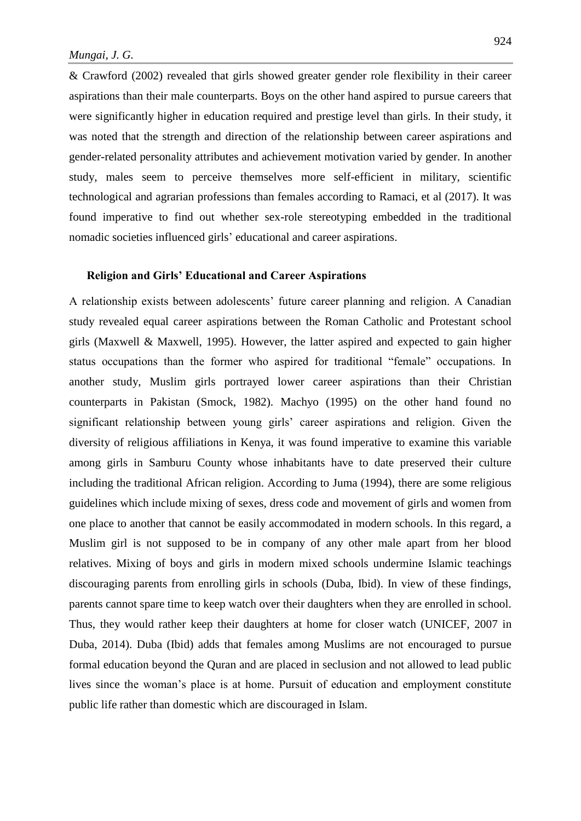& Crawford (2002) revealed that girls showed greater gender role flexibility in their career aspirations than their male counterparts. Boys on the other hand aspired to pursue careers that were significantly higher in education required and prestige level than girls. In their study, it was noted that the strength and direction of the relationship between career aspirations and gender-related personality attributes and achievement motivation varied by gender. In another study, males seem to perceive themselves more self-efficient in military, scientific technological and agrarian professions than females according to Ramaci, et al (2017). It was found imperative to find out whether sex-role stereotyping embedded in the traditional nomadic societies influenced girls' educational and career aspirations.

#### **Religion and Girls' Educational and Career Aspirations**

A relationship exists between adolescents' future career planning and religion. A Canadian study revealed equal career aspirations between the Roman Catholic and Protestant school girls (Maxwell & Maxwell, 1995). However, the latter aspired and expected to gain higher status occupations than the former who aspired for traditional "female" occupations. In another study, Muslim girls portrayed lower career aspirations than their Christian counterparts in Pakistan (Smock, 1982). Machyo (1995) on the other hand found no significant relationship between young girls' career aspirations and religion. Given the diversity of religious affiliations in Kenya, it was found imperative to examine this variable among girls in Samburu County whose inhabitants have to date preserved their culture including the traditional African religion. According to Juma (1994), there are some religious guidelines which include mixing of sexes, dress code and movement of girls and women from one place to another that cannot be easily accommodated in modern schools. In this regard, a Muslim girl is not supposed to be in company of any other male apart from her blood relatives. Mixing of boys and girls in modern mixed schools undermine Islamic teachings discouraging parents from enrolling girls in schools (Duba, Ibid). In view of these findings, parents cannot spare time to keep watch over their daughters when they are enrolled in school. Thus, they would rather keep their daughters at home for closer watch (UNICEF, 2007 in Duba, 2014). Duba (Ibid) adds that females among Muslims are not encouraged to pursue formal education beyond the Quran and are placed in seclusion and not allowed to lead public lives since the woman's place is at home. Pursuit of education and employment constitute public life rather than domestic which are discouraged in Islam.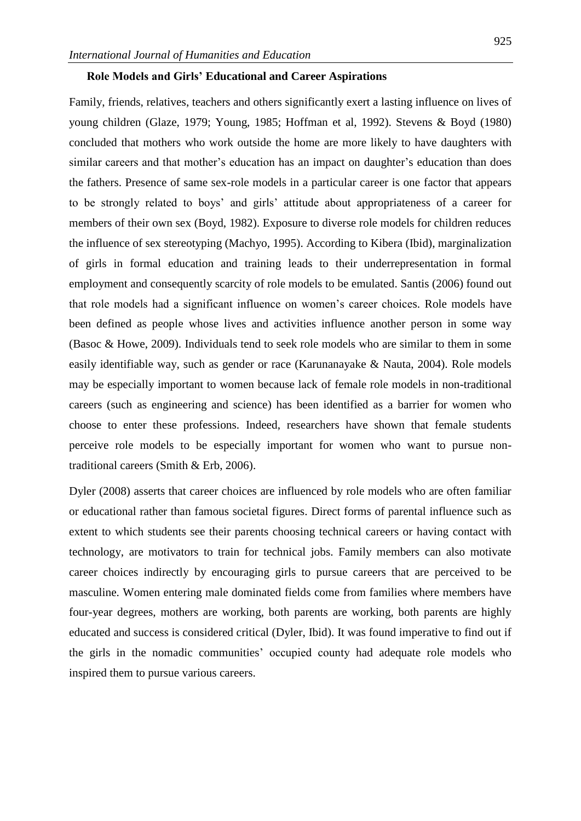#### **Role Models and Girls' Educational and Career Aspirations**

Family, friends, relatives, teachers and others significantly exert a lasting influence on lives of young children (Glaze, 1979; Young, 1985; Hoffman et al, 1992). Stevens & Boyd (1980) concluded that mothers who work outside the home are more likely to have daughters with similar careers and that mother's education has an impact on daughter's education than does the fathers. Presence of same sex-role models in a particular career is one factor that appears to be strongly related to boys' and girls' attitude about appropriateness of a career for members of their own sex (Boyd, 1982). Exposure to diverse role models for children reduces the influence of sex stereotyping (Machyo, 1995). According to Kibera (Ibid), marginalization of girls in formal education and training leads to their underrepresentation in formal employment and consequently scarcity of role models to be emulated. Santis (2006) found out that role models had a significant influence on women's career choices. Role models have been defined as people whose lives and activities influence another person in some way (Basoc & Howe, 2009). Individuals tend to seek role models who are similar to them in some easily identifiable way, such as gender or race (Karunanayake & Nauta, 2004). Role models may be especially important to women because lack of female role models in non-traditional careers (such as engineering and science) has been identified as a barrier for women who choose to enter these professions. Indeed, researchers have shown that female students perceive role models to be especially important for women who want to pursue nontraditional careers (Smith & Erb, 2006).

Dyler (2008) asserts that career choices are influenced by role models who are often familiar or educational rather than famous societal figures. Direct forms of parental influence such as extent to which students see their parents choosing technical careers or having contact with technology, are motivators to train for technical jobs. Family members can also motivate career choices indirectly by encouraging girls to pursue careers that are perceived to be masculine. Women entering male dominated fields come from families where members have four-year degrees, mothers are working, both parents are working, both parents are highly educated and success is considered critical (Dyler, Ibid). It was found imperative to find out if the girls in the nomadic communities' occupied county had adequate role models who inspired them to pursue various careers.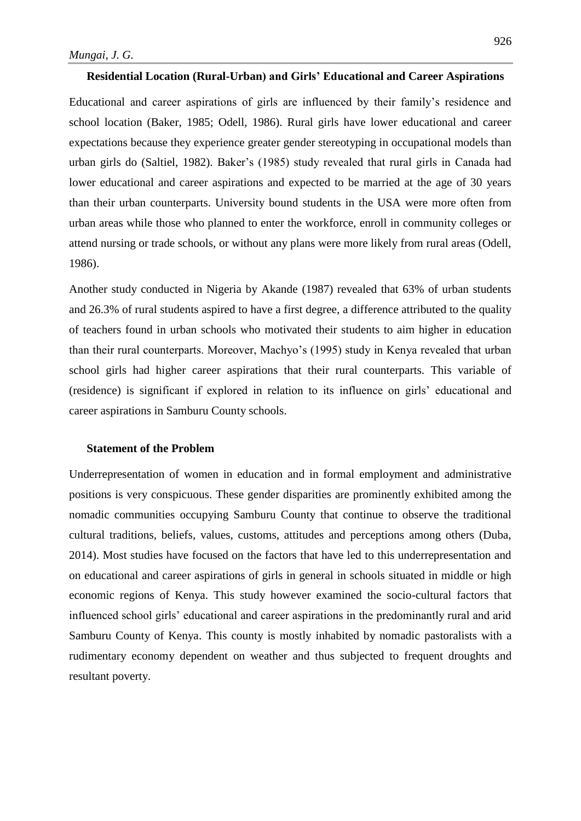# **Residential Location (Rural-Urban) and Girls' Educational and Career Aspirations**

Educational and career aspirations of girls are influenced by their family's residence and school location (Baker, 1985; Odell, 1986). Rural girls have lower educational and career expectations because they experience greater gender stereotyping in occupational models than urban girls do (Saltiel, 1982). Baker's (1985) study revealed that rural girls in Canada had lower educational and career aspirations and expected to be married at the age of 30 years than their urban counterparts. University bound students in the USA were more often from urban areas while those who planned to enter the workforce, enroll in community colleges or attend nursing or trade schools, or without any plans were more likely from rural areas (Odell, 1986).

Another study conducted in Nigeria by Akande (1987) revealed that 63% of urban students and 26.3% of rural students aspired to have a first degree, a difference attributed to the quality of teachers found in urban schools who motivated their students to aim higher in education than their rural counterparts. Moreover, Machyo's (1995) study in Kenya revealed that urban school girls had higher career aspirations that their rural counterparts. This variable of (residence) is significant if explored in relation to its influence on girls' educational and career aspirations in Samburu County schools.

#### **Statement of the Problem**

Underrepresentation of women in education and in formal employment and administrative positions is very conspicuous. These gender disparities are prominently exhibited among the nomadic communities occupying Samburu County that continue to observe the traditional cultural traditions, beliefs, values, customs, attitudes and perceptions among others (Duba, 2014). Most studies have focused on the factors that have led to this underrepresentation and on educational and career aspirations of girls in general in schools situated in middle or high economic regions of Kenya. This study however examined the socio-cultural factors that influenced school girls' educational and career aspirations in the predominantly rural and arid Samburu County of Kenya. This county is mostly inhabited by nomadic pastoralists with a rudimentary economy dependent on weather and thus subjected to frequent droughts and resultant poverty.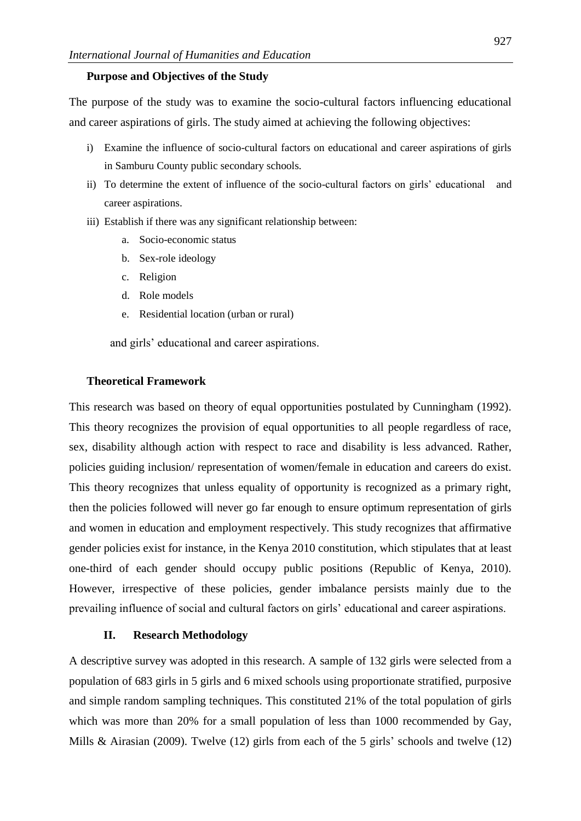#### **Purpose and Objectives of the Study**

The purpose of the study was to examine the socio-cultural factors influencing educational and career aspirations of girls. The study aimed at achieving the following objectives:

- i) Examine the influence of socio-cultural factors on educational and career aspirations of girls in Samburu County public secondary schools.
- ii) To determine the extent of influence of the socio-cultural factors on girls' educational and career aspirations.
- iii) Establish if there was any significant relationship between:
	- a. Socio-economic status
	- b. Sex-role ideology
	- c. Religion
	- d. Role models
	- e. Residential location (urban or rural)

and girls' educational and career aspirations.

# **Theoretical Framework**

This research was based on theory of equal opportunities postulated by Cunningham (1992). This theory recognizes the provision of equal opportunities to all people regardless of race, sex, disability although action with respect to race and disability is less advanced. Rather, policies guiding inclusion/ representation of women/female in education and careers do exist. This theory recognizes that unless equality of opportunity is recognized as a primary right, then the policies followed will never go far enough to ensure optimum representation of girls and women in education and employment respectively. This study recognizes that affirmative gender policies exist for instance, in the Kenya 2010 constitution, which stipulates that at least one-third of each gender should occupy public positions (Republic of Kenya, 2010). However, irrespective of these policies, gender imbalance persists mainly due to the prevailing influence of social and cultural factors on girls' educational and career aspirations.

# **II. Research Methodology**

A descriptive survey was adopted in this research. A sample of 132 girls were selected from a population of 683 girls in 5 girls and 6 mixed schools using proportionate stratified, purposive and simple random sampling techniques. This constituted 21% of the total population of girls which was more than 20% for a small population of less than 1000 recommended by Gay, Mills & Airasian (2009). Twelve (12) girls from each of the 5 girls' schools and twelve (12)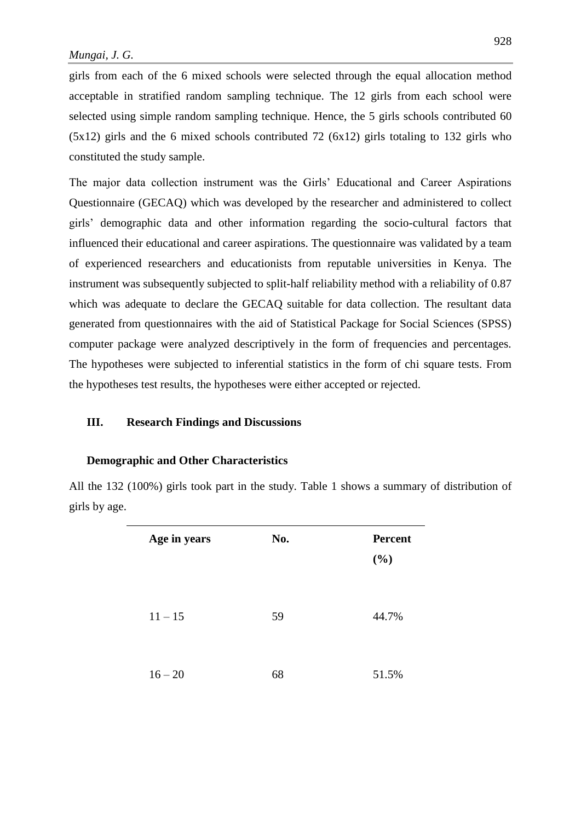girls from each of the 6 mixed schools were selected through the equal allocation method acceptable in stratified random sampling technique. The 12 girls from each school were selected using simple random sampling technique. Hence, the 5 girls schools contributed 60 (5x12) girls and the 6 mixed schools contributed 72 (6x12) girls totaling to 132 girls who constituted the study sample.

The major data collection instrument was the Girls' Educational and Career Aspirations Questionnaire (GECAQ) which was developed by the researcher and administered to collect girls' demographic data and other information regarding the socio-cultural factors that influenced their educational and career aspirations. The questionnaire was validated by a team of experienced researchers and educationists from reputable universities in Kenya. The instrument was subsequently subjected to split-half reliability method with a reliability of 0.87 which was adequate to declare the GECAQ suitable for data collection. The resultant data generated from questionnaires with the aid of Statistical Package for Social Sciences (SPSS) computer package were analyzed descriptively in the form of frequencies and percentages. The hypotheses were subjected to inferential statistics in the form of chi square tests. From the hypotheses test results, the hypotheses were either accepted or rejected.

# **III. Research Findings and Discussions**

#### **Demographic and Other Characteristics**

All the 132 (100%) girls took part in the study. Table 1 shows a summary of distribution of girls by age.

| Age in years | No. | <b>Percent</b><br>(%) |  |  |
|--------------|-----|-----------------------|--|--|
| $11 - 15$    | 59  | 44.7%                 |  |  |
| $16 - 20$    | 68  | 51.5%                 |  |  |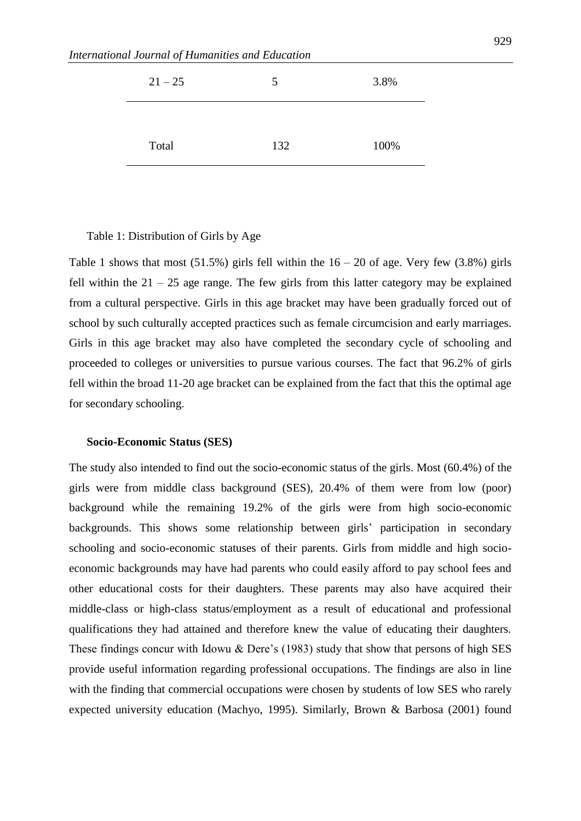| $21 - 25$ | 5   | 3.8% |
|-----------|-----|------|
|           |     |      |
| Total     | 132 | 100% |

Table 1: Distribution of Girls by Age

Table 1 shows that most (51.5%) girls fell within the  $16 - 20$  of age. Very few (3.8%) girls fell within the  $21 - 25$  age range. The few girls from this latter category may be explained from a cultural perspective. Girls in this age bracket may have been gradually forced out of school by such culturally accepted practices such as female circumcision and early marriages. Girls in this age bracket may also have completed the secondary cycle of schooling and proceeded to colleges or universities to pursue various courses. The fact that 96.2% of girls fell within the broad 11-20 age bracket can be explained from the fact that this the optimal age for secondary schooling.

#### **Socio-Economic Status (SES)**

The study also intended to find out the socio-economic status of the girls. Most (60.4%) of the girls were from middle class background (SES), 20.4% of them were from low (poor) background while the remaining 19.2% of the girls were from high socio-economic backgrounds. This shows some relationship between girls' participation in secondary schooling and socio-economic statuses of their parents. Girls from middle and high socioeconomic backgrounds may have had parents who could easily afford to pay school fees and other educational costs for their daughters. These parents may also have acquired their middle-class or high-class status/employment as a result of educational and professional qualifications they had attained and therefore knew the value of educating their daughters. These findings concur with Idowu & Dere's (1983) study that show that persons of high SES provide useful information regarding professional occupations. The findings are also in line with the finding that commercial occupations were chosen by students of low SES who rarely expected university education (Machyo, 1995). Similarly, Brown & Barbosa (2001) found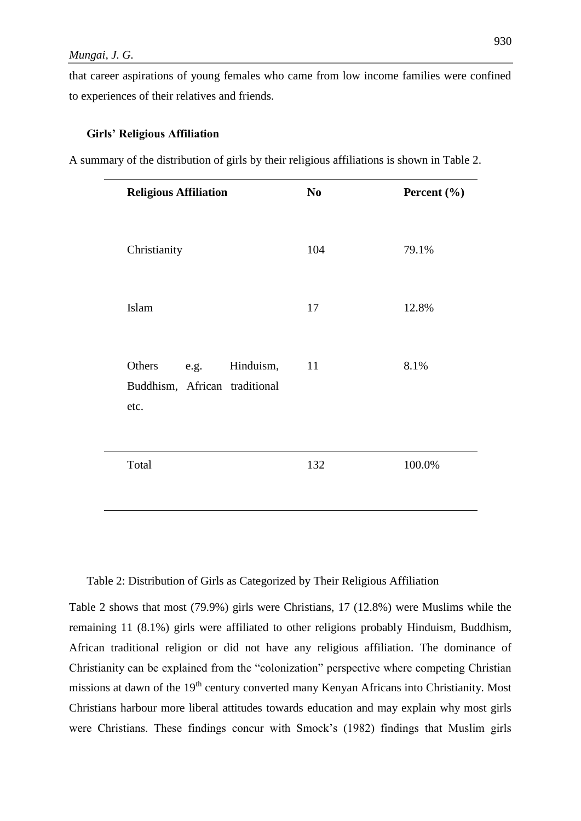that career aspirations of young females who came from low income families were confined to experiences of their relatives and friends.

# **Girls' Religious Affiliation**

A summary of the distribution of girls by their religious affiliations is shown in Table 2.

| <b>Religious Affiliation</b>                                         | N <sub>0</sub> | Percent (%) |
|----------------------------------------------------------------------|----------------|-------------|
| Christianity                                                         | 104            | 79.1%       |
| Islam                                                                | 17             | 12.8%       |
| Others<br>Hinduism,<br>e.g.<br>Buddhism, African traditional<br>etc. | 11             | 8.1%        |
| Total                                                                | 132            | 100.0%      |

Table 2: Distribution of Girls as Categorized by Their Religious Affiliation

Table 2 shows that most (79.9%) girls were Christians, 17 (12.8%) were Muslims while the remaining 11 (8.1%) girls were affiliated to other religions probably Hinduism, Buddhism, African traditional religion or did not have any religious affiliation. The dominance of Christianity can be explained from the "colonization" perspective where competing Christian missions at dawn of the 19<sup>th</sup> century converted many Kenyan Africans into Christianity. Most Christians harbour more liberal attitudes towards education and may explain why most girls were Christians. These findings concur with Smock's (1982) findings that Muslim girls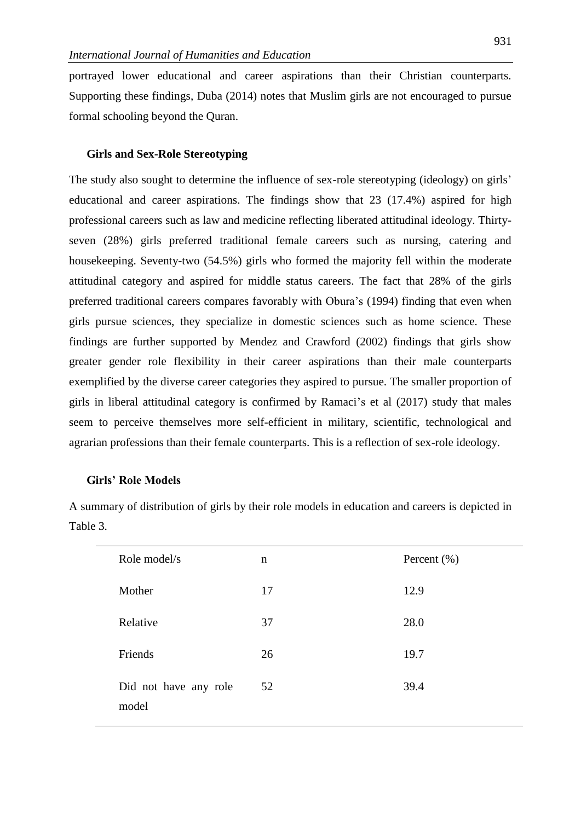portrayed lower educational and career aspirations than their Christian counterparts. Supporting these findings, Duba (2014) notes that Muslim girls are not encouraged to pursue formal schooling beyond the Quran.

# **Girls and Sex-Role Stereotyping**

The study also sought to determine the influence of sex-role stereotyping (ideology) on girls' educational and career aspirations. The findings show that 23 (17.4%) aspired for high professional careers such as law and medicine reflecting liberated attitudinal ideology. Thirtyseven (28%) girls preferred traditional female careers such as nursing, catering and housekeeping. Seventy-two (54.5%) girls who formed the majority fell within the moderate attitudinal category and aspired for middle status careers. The fact that 28% of the girls preferred traditional careers compares favorably with Obura's (1994) finding that even when girls pursue sciences, they specialize in domestic sciences such as home science. These findings are further supported by Mendez and Crawford (2002) findings that girls show greater gender role flexibility in their career aspirations than their male counterparts exemplified by the diverse career categories they aspired to pursue. The smaller proportion of girls in liberal attitudinal category is confirmed by Ramaci's et al (2017) study that males seem to perceive themselves more self-efficient in military, scientific, technological and agrarian professions than their female counterparts. This is a reflection of sex-role ideology.

#### **Girls' Role Models**

| Role model/s                   | $\mathbf n$ | Percent $(\% )$ |
|--------------------------------|-------------|-----------------|
| Mother                         | 17          | 12.9            |
| Relative                       | 37          | 28.0            |
| Friends                        | 26          | 19.7            |
| Did not have any role<br>model | 52          | 39.4            |

A summary of distribution of girls by their role models in education and careers is depicted in Table 3.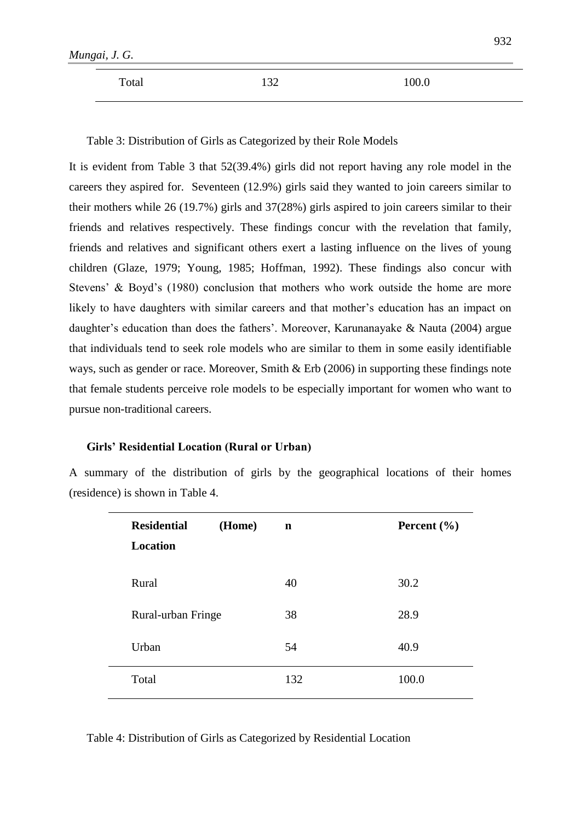| Mungai, J. G. |     |       | --- |
|---------------|-----|-------|-----|
| Total         | 130 | 100.0 |     |

 $032$ 

Table 3: Distribution of Girls as Categorized by their Role Models

It is evident from Table 3 that 52(39.4%) girls did not report having any role model in the careers they aspired for. Seventeen (12.9%) girls said they wanted to join careers similar to their mothers while 26 (19.7%) girls and 37(28%) girls aspired to join careers similar to their friends and relatives respectively. These findings concur with the revelation that family, friends and relatives and significant others exert a lasting influence on the lives of young children (Glaze, 1979; Young, 1985; Hoffman, 1992). These findings also concur with Stevens' & Boyd's (1980) conclusion that mothers who work outside the home are more likely to have daughters with similar careers and that mother's education has an impact on daughter's education than does the fathers'. Moreover, Karunanayake & Nauta (2004) argue that individuals tend to seek role models who are similar to them in some easily identifiable ways, such as gender or race. Moreover, Smith & Erb (2006) in supporting these findings note that female students perceive role models to be especially important for women who want to pursue non-traditional careers.

#### **Girls' Residential Location (Rural or Urban)**

A summary of the distribution of girls by the geographical locations of their homes (residence) is shown in Table 4.

| <b>Residential</b><br>(Home) | $\mathbf n$ | Percent $(\% )$ |
|------------------------------|-------------|-----------------|
| <b>Location</b>              |             |                 |
|                              |             |                 |
| Rural                        | 40          | 30.2            |
|                              |             |                 |
| Rural-urban Fringe           | 38          | 28.9            |
| Urban                        | 54          | 40.9            |
|                              |             |                 |
| Total                        | 132         | 100.0           |
|                              |             |                 |

Table 4: Distribution of Girls as Categorized by Residential Location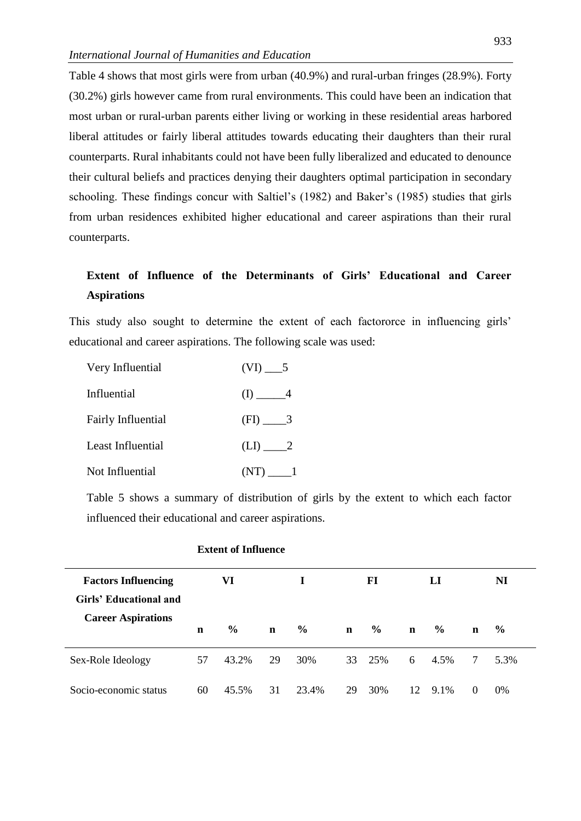Table 4 shows that most girls were from urban (40.9%) and rural-urban fringes (28.9%). Forty (30.2%) girls however came from rural environments. This could have been an indication that most urban or rural-urban parents either living or working in these residential areas harbored liberal attitudes or fairly liberal attitudes towards educating their daughters than their rural counterparts. Rural inhabitants could not have been fully liberalized and educated to denounce their cultural beliefs and practices denying their daughters optimal participation in secondary schooling. These findings concur with Saltiel's (1982) and Baker's (1985) studies that girls from urban residences exhibited higher educational and career aspirations than their rural counterparts.

# **Extent of Influence of the Determinants of Girls' Educational and Career Aspirations**

This study also sought to determine the extent of each factororce in influencing girls' educational and career aspirations. The following scale was used:

| Very Influential          |           |
|---------------------------|-----------|
| Influential               | $(I)$ $4$ |
| <b>Fairly Influential</b> |           |
| Least Influential         | $(LI)$ 2  |
| Not Influential           |           |

Table 5 shows a summary of distribution of girls by the extent to which each factor influenced their educational and career aspirations.

| <b>Factors Influencing</b><br>Girls' Educational and |             | VI            |             | Т.            |             | FI            |             | LI            |             | NI            |
|------------------------------------------------------|-------------|---------------|-------------|---------------|-------------|---------------|-------------|---------------|-------------|---------------|
| <b>Career Aspirations</b>                            | $\mathbf n$ | $\frac{6}{6}$ | $\mathbf n$ | $\frac{6}{6}$ | $\mathbf n$ | $\frac{6}{6}$ | $\mathbf n$ | $\frac{6}{9}$ | $\mathbf n$ | $\frac{6}{9}$ |
| Sex-Role Ideology                                    | 57          | 43.2%         | 29          | 30%           |             | 33 25%        | 6           | 4.5%          | 7           | 5.3%          |
| Socio-economic status                                | 60          | 45.5%         | 31          | 23.4%         | 29          | 30%           | 12          | 9.1%          | $\Omega$    | 0%            |

# **Extent of Influence**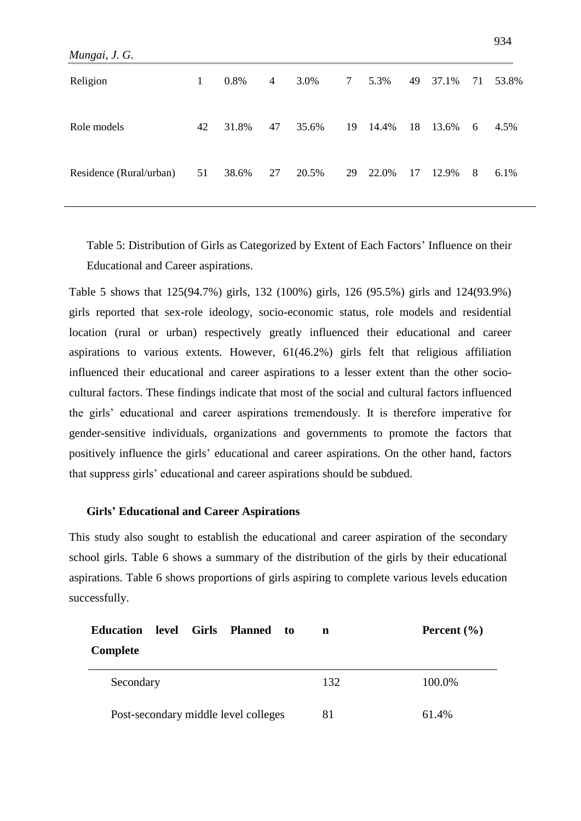| Mungai, J. G.           |    |       |    |       |                 |       |    |       |    |       |
|-------------------------|----|-------|----|-------|-----------------|-------|----|-------|----|-------|
| Religion                | 1  | 0.8%  | 4  | 3.0%  | $7\overline{ }$ | 5.3%  | 49 | 37.1% | 71 | 53.8% |
| Role models             | 42 | 31.8% | 47 | 35.6% | 19              | 14.4% | 18 | 13.6% | 6  | 4.5%  |
| Residence (Rural/urban) | 51 | 38.6% | 27 | 20.5% | 29              | 22.0% | 17 | 12.9% | 8  | 6.1%  |

Table 5: Distribution of Girls as Categorized by Extent of Each Factors' Influence on their Educational and Career aspirations.

Table 5 shows that 125(94.7%) girls, 132 (100%) girls, 126 (95.5%) girls and 124(93.9%) girls reported that sex-role ideology, socio-economic status, role models and residential location (rural or urban) respectively greatly influenced their educational and career aspirations to various extents. However, 61(46.2%) girls felt that religious affiliation influenced their educational and career aspirations to a lesser extent than the other sociocultural factors. These findings indicate that most of the social and cultural factors influenced the girls' educational and career aspirations tremendously. It is therefore imperative for gender-sensitive individuals, organizations and governments to promote the factors that positively influence the girls' educational and career aspirations. On the other hand, factors that suppress girls' educational and career aspirations should be subdued.

#### **Girls' Educational and Career Aspirations**

This study also sought to establish the educational and career aspiration of the secondary school girls. Table 6 shows a summary of the distribution of the girls by their educational aspirations. Table 6 shows proportions of girls aspiring to complete various levels education successfully.

| level Girls<br><b>Education</b>      | <b>Planned</b><br>to | n   | Percent $(\% )$ |
|--------------------------------------|----------------------|-----|-----------------|
| Complete                             |                      |     |                 |
| Secondary                            |                      | 132 | 100.0%          |
| Post-secondary middle level colleges |                      | 81  | 61.4%           |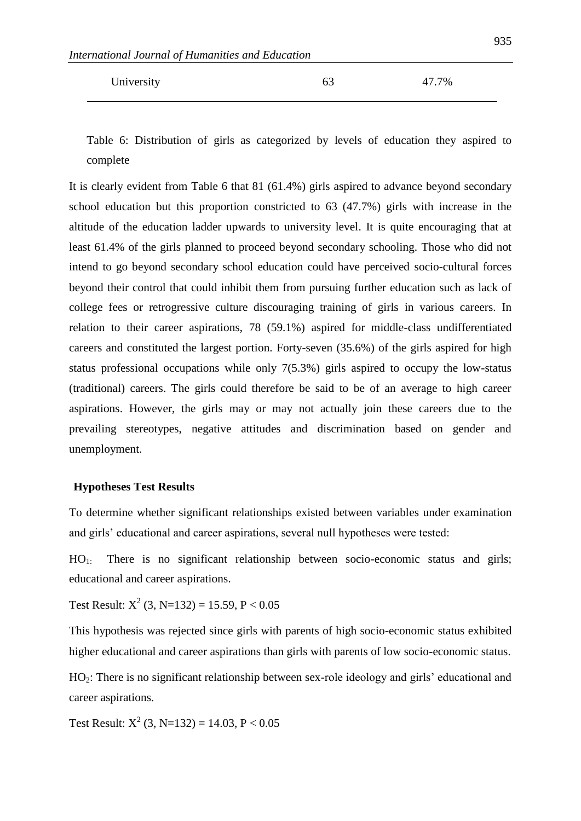| University | 63 | 47.7% |
|------------|----|-------|
|            |    |       |

Table 6: Distribution of girls as categorized by levels of education they aspired to complete

It is clearly evident from Table 6 that 81 (61.4%) girls aspired to advance beyond secondary school education but this proportion constricted to 63 (47.7%) girls with increase in the altitude of the education ladder upwards to university level. It is quite encouraging that at least 61.4% of the girls planned to proceed beyond secondary schooling. Those who did not intend to go beyond secondary school education could have perceived socio-cultural forces beyond their control that could inhibit them from pursuing further education such as lack of college fees or retrogressive culture discouraging training of girls in various careers. In relation to their career aspirations, 78 (59.1%) aspired for middle-class undifferentiated careers and constituted the largest portion. Forty-seven (35.6%) of the girls aspired for high status professional occupations while only 7(5.3%) girls aspired to occupy the low-status (traditional) careers. The girls could therefore be said to be of an average to high career aspirations. However, the girls may or may not actually join these careers due to the prevailing stereotypes, negative attitudes and discrimination based on gender and unemployment.

#### **Hypotheses Test Results**

To determine whether significant relationships existed between variables under examination and girls' educational and career aspirations, several null hypotheses were tested:

HO1: There is no significant relationship between socio-economic status and girls; educational and career aspirations.

Test Result:  $X^2$  (3, N=132) = 15.59, P < 0.05

This hypothesis was rejected since girls with parents of high socio-economic status exhibited higher educational and career aspirations than girls with parents of low socio-economic status.

HO<sub>2</sub>: There is no significant relationship between sex-role ideology and girls' educational and career aspirations.

Test Result:  $X^2$  (3, N=132) = 14.03, P < 0.05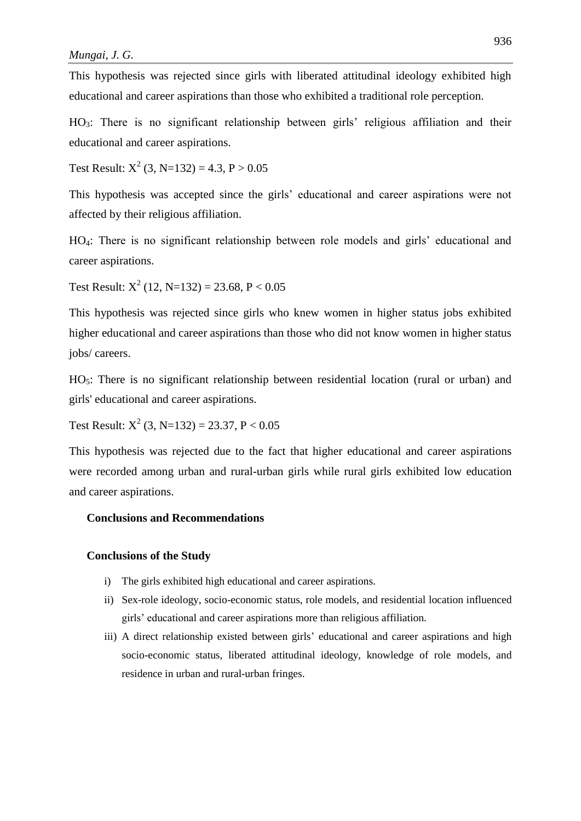This hypothesis was rejected since girls with liberated attitudinal ideology exhibited high educational and career aspirations than those who exhibited a traditional role perception.

HO3: There is no significant relationship between girls' religious affiliation and their educational and career aspirations.

Test Result:  $X^2$  (3, N=132) = 4.3, P > 0.05

This hypothesis was accepted since the girls' educational and career aspirations were not affected by their religious affiliation.

HO4: There is no significant relationship between role models and girls' educational and career aspirations.

Test Result:  $X^2$  (12, N=132) = 23.68, P < 0.05

This hypothesis was rejected since girls who knew women in higher status jobs exhibited higher educational and career aspirations than those who did not know women in higher status jobs/ careers.

HO5: There is no significant relationship between residential location (rural or urban) and girls' educational and career aspirations.

Test Result:  $X^2$  (3, N=132) = 23.37, P < 0.05

This hypothesis was rejected due to the fact that higher educational and career aspirations were recorded among urban and rural-urban girls while rural girls exhibited low education and career aspirations.

# **Conclusions and Recommendations**

#### **Conclusions of the Study**

- i) The girls exhibited high educational and career aspirations.
- ii) Sex-role ideology, socio-economic status, role models, and residential location influenced girls' educational and career aspirations more than religious affiliation.
- iii) A direct relationship existed between girls' educational and career aspirations and high socio-economic status, liberated attitudinal ideology, knowledge of role models, and residence in urban and rural-urban fringes.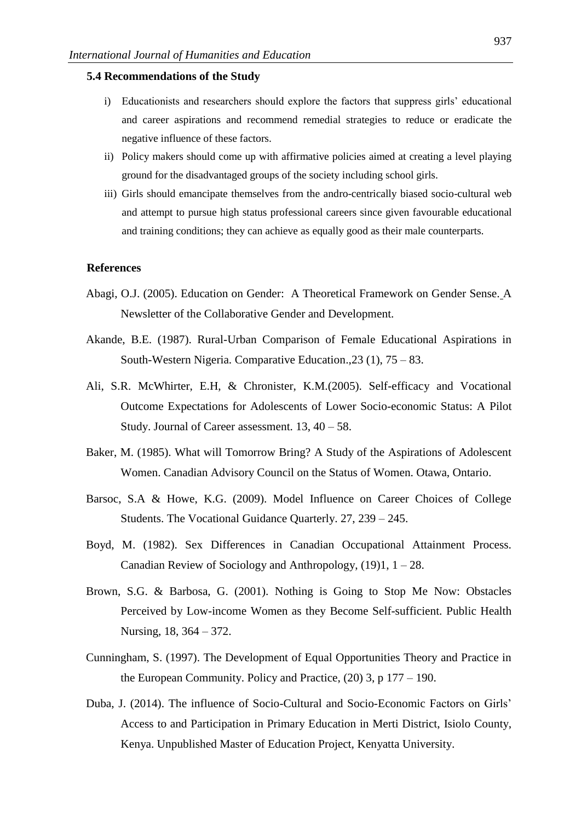#### **5.4 Recommendations of the Study**

- i) Educationists and researchers should explore the factors that suppress girls' educational and career aspirations and recommend remedial strategies to reduce or eradicate the negative influence of these factors.
- ii) Policy makers should come up with affirmative policies aimed at creating a level playing ground for the disadvantaged groups of the society including school girls.
- iii) Girls should emancipate themselves from the andro-centrically biased socio-cultural web and attempt to pursue high status professional careers since given favourable educational and training conditions; they can achieve as equally good as their male counterparts.

#### **References**

- Abagi, O.J. (2005). Education on Gender: A Theoretical Framework on Gender Sense. A Newsletter of the Collaborative Gender and Development.
- Akande, B.E. (1987). Rural-Urban Comparison of Female Educational Aspirations in South-Western Nigeria. Comparative Education.,23 (1), 75 – 83.
- Ali, S.R. McWhirter, E.H, & Chronister, K.M.(2005). Self-efficacy and Vocational Outcome Expectations for Adolescents of Lower Socio-economic Status: A Pilot Study. Journal of Career assessment. 13, 40 – 58.
- Baker, M. (1985). What will Tomorrow Bring? A Study of the Aspirations of Adolescent Women. Canadian Advisory Council on the Status of Women. Otawa, Ontario.
- Barsoc, S.A & Howe, K.G. (2009). Model Influence on Career Choices of College Students. The Vocational Guidance Quarterly. 27, 239 – 245.
- Boyd, M. (1982). Sex Differences in Canadian Occupational Attainment Process. Canadian Review of Sociology and Anthropology, (19)1, 1 – 28.
- Brown, S.G. & Barbosa, G. (2001). Nothing is Going to Stop Me Now: Obstacles Perceived by Low-income Women as they Become Self-sufficient. Public Health Nursing, 18, 364 – 372.
- Cunningham, S. (1997). The Development of Equal Opportunities Theory and Practice in the European Community. Policy and Practice, (20) 3, p 177 – 190.
- Duba, J. (2014). The influence of Socio-Cultural and Socio-Economic Factors on Girls' Access to and Participation in Primary Education in Merti District, Isiolo County, Kenya. Unpublished Master of Education Project, Kenyatta University.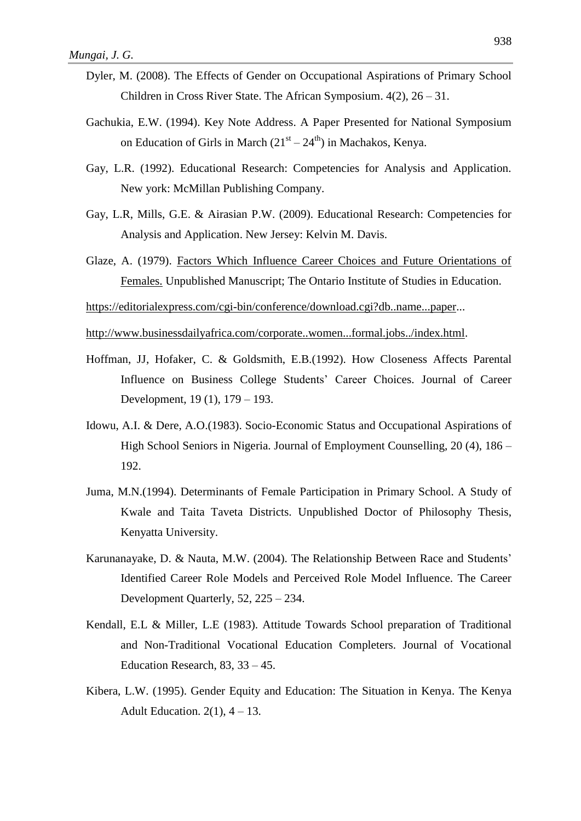- Dyler, M. (2008). The Effects of Gender on Occupational Aspirations of Primary School Children in Cross River State. The African Symposium. 4(2), 26 – 31.
- Gachukia, E.W. (1994). Key Note Address. A Paper Presented for National Symposium on Education of Girls in March  $(21<sup>st</sup> – 24<sup>th</sup>)$  in Machakos, Kenya.
- Gay, L.R. (1992). Educational Research: Competencies for Analysis and Application. New york: McMillan Publishing Company.
- Gay, L.R, Mills, G.E. & Airasian P.W. (2009). Educational Research: Competencies for Analysis and Application. New Jersey: Kelvin M. Davis.
- Glaze, A. (1979). Factors Which Influence Career Choices and Future Orientations of Females. Unpublished Manuscript; The Ontario Institute of Studies in Education.

[https://editorialexpress.com/cgi-bin/conference/download.cgi?db..name...paper.](https://editorialexpress.com/cgi-bin/conference/download.cgi?db..name...paper)..

[http://www.businessdailyafrica.com/corporate..women...formal.jobs../index.html.](http://www.businessdailyafrica.com/corporate..women...formal.jobs../index.html)

- Hoffman, JJ, Hofaker, C. & Goldsmith, E.B.(1992). How Closeness Affects Parental Influence on Business College Students' Career Choices. Journal of Career Development, 19 (1), 179 – 193.
- Idowu, A.I. & Dere, A.O.(1983). Socio-Economic Status and Occupational Aspirations of High School Seniors in Nigeria. Journal of Employment Counselling, 20 (4), 186 – 192.
- Juma, M.N.(1994). Determinants of Female Participation in Primary School. A Study of Kwale and Taita Taveta Districts. Unpublished Doctor of Philosophy Thesis, Kenyatta University.
- Karunanayake, D. & Nauta, M.W. (2004). The Relationship Between Race and Students' Identified Career Role Models and Perceived Role Model Influence. The Career Development Quarterly, 52, 225 – 234.
- Kendall, E.L & Miller, L.E (1983). Attitude Towards School preparation of Traditional and Non-Traditional Vocational Education Completers. Journal of Vocational Education Research,  $83$ ,  $33 - 45$ .
- Kibera, L.W. (1995). Gender Equity and Education: The Situation in Kenya. The Kenya Adult Education.  $2(1)$ ,  $4 - 13$ .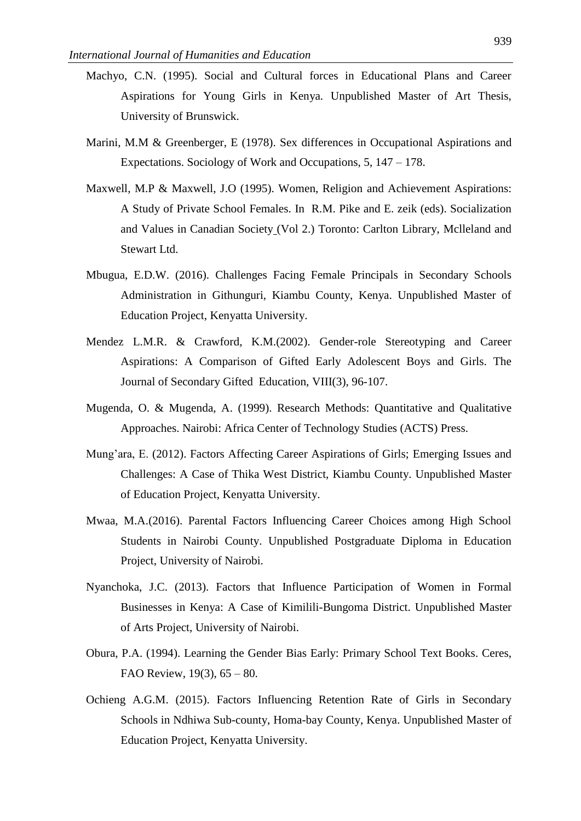- Machyo, C.N. (1995). Social and Cultural forces in Educational Plans and Career Aspirations for Young Girls in Kenya. Unpublished Master of Art Thesis, University of Brunswick.
- Marini, M.M & Greenberger, E (1978). Sex differences in Occupational Aspirations and Expectations. Sociology of Work and Occupations, 5, 147 – 178.
- Maxwell, M.P & Maxwell, J.O (1995). Women, Religion and Achievement Aspirations: A Study of Private School Females. In R.M. Pike and E. zeik (eds). Socialization and Values in Canadian Society (Vol 2.) Toronto: Carlton Library, Mclleland and Stewart Ltd.
- Mbugua, E.D.W. (2016). Challenges Facing Female Principals in Secondary Schools Administration in Githunguri, Kiambu County, Kenya. Unpublished Master of Education Project, Kenyatta University.
- Mendez L.M.R. & Crawford, K.M.(2002). Gender-role Stereotyping and Career Aspirations: A Comparison of Gifted Early Adolescent Boys and Girls. The Journal of Secondary Gifted Education, VIII(3), 96-107.
- Mugenda, O. & Mugenda, A. (1999). Research Methods: Quantitative and Qualitative Approaches. Nairobi: Africa Center of Technology Studies (ACTS) Press.
- Mung'ara, E. (2012). Factors Affecting Career Aspirations of Girls; Emerging Issues and Challenges: A Case of Thika West District, Kiambu County. Unpublished Master of Education Project, Kenyatta University.
- Mwaa, M.A.(2016). Parental Factors Influencing Career Choices among High School Students in Nairobi County. Unpublished Postgraduate Diploma in Education Project, University of Nairobi.
- Nyanchoka, J.C. (2013). Factors that Influence Participation of Women in Formal Businesses in Kenya: A Case of Kimilili-Bungoma District. Unpublished Master of Arts Project, University of Nairobi.
- Obura, P.A. (1994). Learning the Gender Bias Early: Primary School Text Books. Ceres, FAO Review, 19(3), 65 – 80.
- Ochieng A.G.M. (2015). Factors Influencing Retention Rate of Girls in Secondary Schools in Ndhiwa Sub-county, Homa-bay County, Kenya. Unpublished Master of Education Project, Kenyatta University.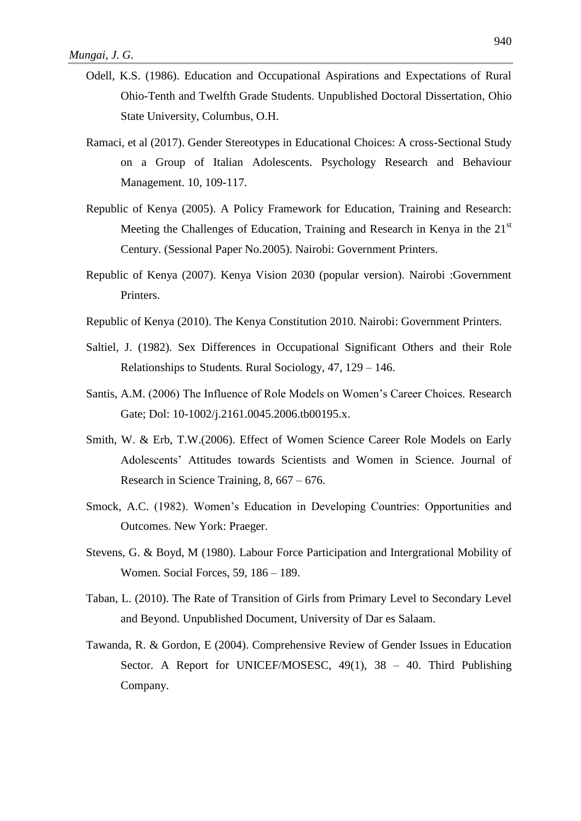- Odell, K.S. (1986). Education and Occupational Aspirations and Expectations of Rural Ohio-Tenth and Twelfth Grade Students. Unpublished Doctoral Dissertation, Ohio State University, Columbus, O.H.
- Ramaci, et al (2017). Gender Stereotypes in Educational Choices: A cross-Sectional Study on a Group of Italian Adolescents. Psychology Research and Behaviour Management. 10, 109-117.
- Republic of Kenya (2005). A Policy Framework for Education, Training and Research: Meeting the Challenges of Education, Training and Research in Kenya in the 21<sup>st</sup> Century. (Sessional Paper No.2005). Nairobi: Government Printers.
- Republic of Kenya (2007). Kenya Vision 2030 (popular version). Nairobi :Government Printers.
- Republic of Kenya (2010). The Kenya Constitution 2010. Nairobi: Government Printers.
- Saltiel, J. (1982). Sex Differences in Occupational Significant Others and their Role Relationships to Students. Rural Sociology, 47, 129 – 146.
- Santis, A.M. (2006) The Influence of Role Models on Women's Career Choices. Research Gate; Dol: 10-1002/j.2161.0045.2006.tb00195.x.
- Smith, W. & Erb, T.W.(2006). Effect of Women Science Career Role Models on Early Adolescents' Attitudes towards Scientists and Women in Science. Journal of Research in Science Training, 8, 667 – 676.
- Smock, A.C. (1982). Women's Education in Developing Countries: Opportunities and Outcomes. New York: Praeger.
- Stevens, G. & Boyd, M (1980). Labour Force Participation and Intergrational Mobility of Women. Social Forces, 59, 186 – 189.
- Taban, L. (2010). The Rate of Transition of Girls from Primary Level to Secondary Level and Beyond. Unpublished Document, University of Dar es Salaam.
- Tawanda, R. & Gordon, E (2004). Comprehensive Review of Gender Issues in Education Sector. A Report for UNICEF/MOSESC, 49(1), 38 - 40. Third Publishing Company.